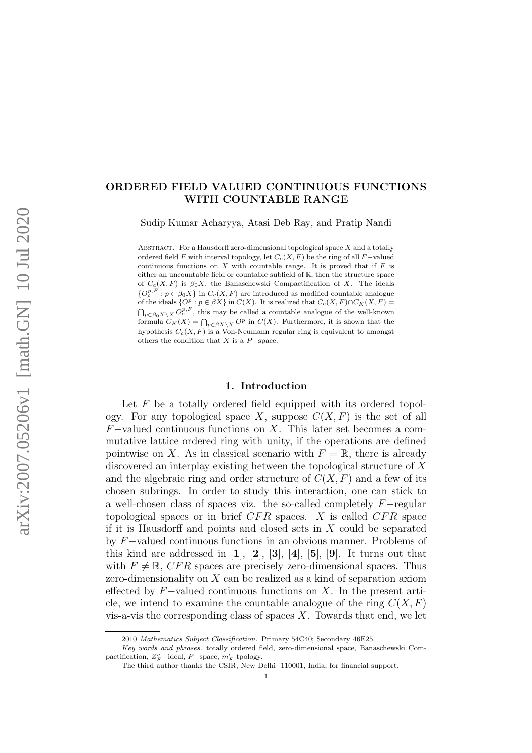## ORDERED FIELD VALUED CONTINUOUS FUNCTIONS WITH COUNTABLE RANGE

Sudip Kumar Acharyya, Atasi Deb Ray, and Pratip Nandi

ABSTRACT. For a Hausdorff zero-dimensional topological space  $X$  and a totally ordered field  $F$  with interval topology, let  $C_c(X, F)$  be the ring of all  $F$ -valued continuous functions on  $X$  with countable range. It is proved that if  $F$  is either an uncountable field or countable subfield of  $\mathbb{R}$ , then the structure space of  $C_c(X, F)$  is  $\beta_0 X$ , the Banaschewski Compactification of X. The ideals  ${Q_c^p}^F : p \in \beta_0 X$  in  $C_c(X, F)$  are introduced as modified countable analogue of the ideals  $\{O^p : p \in \beta X\}$  in  $C(X)$ . It is realized that  $C_c(X, F) \cap C_K(X, F) =$ <br> $\bigcap_{p \in \beta_0 X \setminus X} O_c^{p, F}$ , this may be called a countable analogue of the well-known formula  $C_K(X) = \bigcap_{p \in \beta X \setminus X} O^p$  in  $C(X)$ . Furthermore, it is shown that the hypothesis  $C_c(X, F)$  is a Von-Neumann regular ring is equivalent to amongst others the condition that  $X$  is a  $P$  –space.

### 1. Introduction

Let  $F$  be a totally ordered field equipped with its ordered topology. For any topological space X, suppose  $C(X, F)$  is the set of all  $F$ -valued continuous functions on X. This later set becomes a commutative lattice ordered ring with unity, if the operations are defined pointwise on X. As in classical scenario with  $F = \mathbb{R}$ , there is already discovered an interplay existing between the topological structure of X and the algebraic ring and order structure of  $C(X, F)$  and a few of its chosen subrings. In order to study this interaction, one can stick to a well-chosen class of spaces viz. the so-called completely F−regular topological spaces or in brief  $CFR$  spaces. X is called  $CFR$  space if it is Hausdorff and points and closed sets in  $X$  could be separated by F−valued continuous functions in an obvious manner. Problems of this kind are addressed in  $\mathbf{1}, \mathbf{2}, \mathbf{3}, \mathbf{4}, \mathbf{5}, \mathbf{9}.$  It turns out that with  $F \neq \mathbb{R}$ , CFR spaces are precisely zero-dimensional spaces. Thus zero-dimensionality on X can be realized as a kind of separation axiom effected by  $F$ -valued continuous functions on X. In the present article, we intend to examine the countable analogue of the ring  $C(X, F)$ vis-a-vis the corresponding class of spaces  $X$ . Towards that end, we let

<sup>2010</sup> Mathematics Subject Classification. Primary 54C40; Secondary 46E25.

Key words and phrases. totally ordered field, zero-dimensional space, Banaschewski Compactification,  $Z_F^c$ -ideal,  $P$ -space,  $m_F^c$  tpology.

The third author thanks the CSIR, New Delhi 110001, India, for financial support.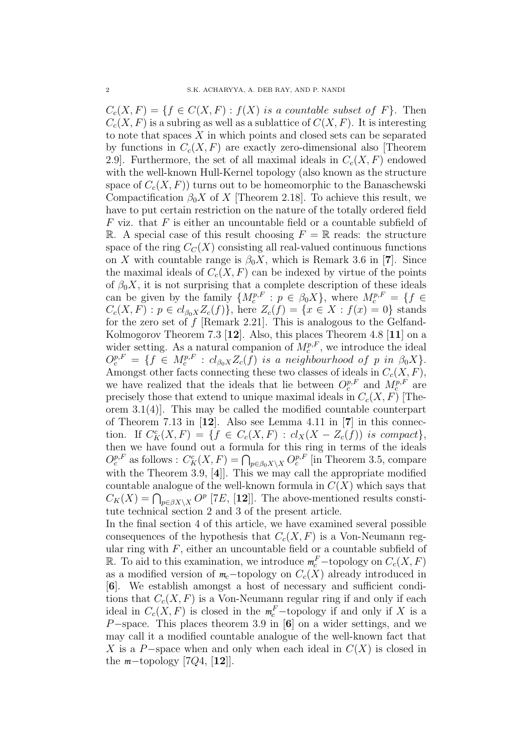$C_c(X, F) = \{f \in C(X, F) : f(X)$  is a countable subset of F $\}$ . Then  $C_c(X, F)$  is a subring as well as a sublattice of  $C(X, F)$ . It is interesting to note that spaces  $X$  in which points and closed sets can be separated by functions in  $C_c(X, F)$  are exactly zero-dimensional also [Theorem 2.9. Furthermore, the set of all maximal ideals in  $C_c(X, F)$  endowed with the well-known Hull-Kernel topology (also known as the structure space of  $C_c(X, F)$  turns out to be homeomorphic to the Banaschewski Compactification  $\beta_0 X$  of X [Theorem 2.18]. To achieve this result, we have to put certain restriction on the nature of the totally ordered field  $F$  viz. that  $F$  is either an uncountable field or a countable subfield of R. A special case of this result choosing  $F = \mathbb{R}$  reads: the structure space of the ring  $C<sub>C</sub>(X)$  consisting all real-valued continuous functions on X with countable range is  $\beta_0 X$ , which is Remark 3.6 in [7]. Since the maximal ideals of  $C_c(X, F)$  can be indexed by virtue of the points of  $\beta_0 X$ , it is not surprising that a complete description of these ideals can be given by the family  $\{M_c^{p,F} : p \in \beta_0 X\}$ , where  $M_c^{p,F} = \{f \in$  $C_c(X, F) : p \in cl_{\beta_0 X} Z_c(f) \},$  here  $Z_c(f) = \{ x \in X : f(x) = 0 \}$  stands for the zero set of  $f$  [Remark 2.21]. This is analogous to the Gelfand-Kolmogorov Theorem 7.3 [12]. Also, this places Theorem 4.8 [11] on a wider setting. As a natural companion of  $M_c^{p,F}$ , we introduce the ideal  $O_c^{p,F} = \{f \in M_c^{p,F} : cl_{\beta_0 X} Z_c(f) \text{ is a neighborhood of } p \text{ in } \beta_0 X\}.$ Amongst other facts connecting these two classes of ideals in  $C_c(X, F)$ , we have realized that the ideals that lie between  $O_c^{p,F}$  and  $M_c^{p,F}$  are precisely those that extend to unique maximal ideals in  $C_c(X, F)$  [Theorem 3.1(4)]. This may be called the modified countable counterpart of Theorem 7.13 in  $[12]$ . Also see Lemma 4.11 in  $[7]$  in this connection. If  $C_K^c(X,F) = \{f \in C_c(X,F) : cl_X(X - Z_c(f)) \text{ is compact}\},\$ then we have found out a formula for this ring in terms of the ideals  $O_c^{p,F}$  as follows :  $C_K^c(X, F) = \bigcap_{p \in \beta_0 X \setminus X} O_c^{p,F}$  [in Theorem 3.5, compare with the Theorem 3.9, [4]]. This we may call the appropriate modified countable analogue of the well-known formula in  $C(X)$  which says that  $C_K(X) = \bigcap_{p \in \beta X \setminus X} O^p$  [7E, [12]]. The above-mentioned results constitute technical section 2 and 3 of the present article.

In the final section 4 of this article, we have examined several possible consequences of the hypothesis that  $C_c(X, F)$  is a Von-Neumann regular ring with  $F$ , either an uncountable field or a countable subfield of  $\mathbb{R}$ . To aid to this examination, we introduce  $m_c^F$ -topology on  $C_c(X, F)$ as a modified version of  $m_c$ -topology on  $C_c(X)$  already introduced in [6]. We establish amongst a host of necessary and sufficient conditions that  $C_c(X, F)$  is a Von-Neumann regular ring if and only if each ideal in  $C_c(X, F)$  is closed in the  $m_c^F$ -topology if and only if X is a P-space. This places theorem 3.9 in [6] on a wider settings, and we may call it a modified countable analogue of the well-known fact that X is a P–space when and only when each ideal in  $C(X)$  is closed in the  $m$ −topology [7 $Q_4$ , [12]].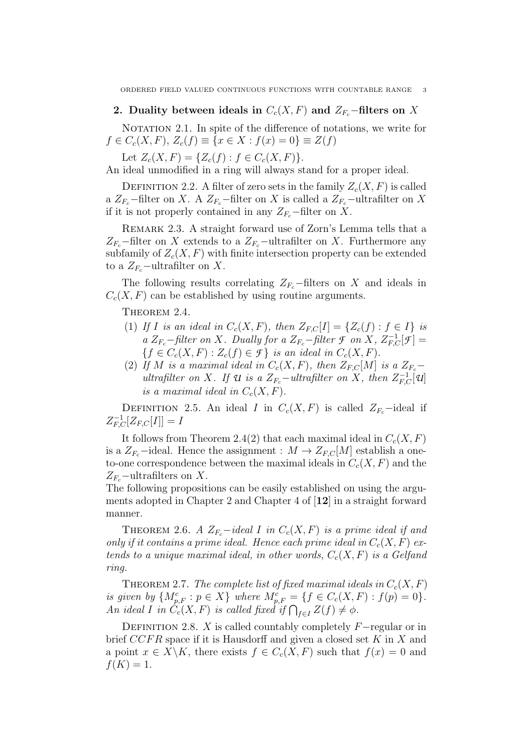### 2. Duality between ideals in  $C_c(X, F)$  and  $Z_{F_c}$ −filters on X

NOTATION 2.1. In spite of the difference of notations, we write for  $f \in C_c(X, F), Z_c(f) \equiv \{x \in X : f(x) = 0\} \equiv Z(f)$ 

Let  $Z_c(X, F) = \{Z_c(f) : f \in C_c(X, F)\}.$ 

An ideal unmodified in a ring will always stand for a proper ideal.

DEFINITION 2.2. A filter of zero sets in the family  $Z_c(X, F)$  is called a  $Z_{F_c}$ −filter on X. A  $Z_{F_c}$ −filter on X is called a  $Z_{F_c}$ −ultrafilter on X if it is not properly contained in any  $Z_{F_c}$ −filter on X.

Remark 2.3. A straight forward use of Zorn's Lemma tells that a  $Z_{F_c}$ −filter on X extends to a  $Z_{F_c}$ −ultrafilter on X. Furthermore any subfamily of  $Z_c(X, F)$  with finite intersection property can be extended to a  $Z_{F_c}$ -ultrafilter on X.

The following results correlating  $Z_{F_c}$ −filters on X and ideals in  $C_c(X, F)$  can be established by using routine arguments.

THEOREM 2.4.

- (1) If I is an ideal in  $C_c(X, F)$ , then  $Z_{F,C}[I] = \{Z_c(f) : f \in I\}$  is a  $Z_{F_c}$ -filter on X. Dually for a  $Z_{F_c}$ -filter *F* on X,  $Z_{F,C}^{-1}[\mathcal{F}] =$  ${f \in C_c(X, F) : Z_c(f) \in \mathcal{F}}$  is an ideal in  $C_c(X, F)$ .
- (2) If M is a maximal ideal in  $C_c(X, F)$ , then  $Z_{F,C}[M]$  is a  $Z_{F_c}$ ultrafilter on X. If  $\mathcal{U}$  is a  $Z_{F_c}$ -ultrafilter on X, then  $Z_{F,C}^{-1}[\mathcal{U}]$ is a maximal ideal in  $C_c(X, F)$ .

DEFINITION 2.5. An ideal I in  $C_c(X, F)$  is called  $Z_{F_c}$ -ideal if  $Z_{F,C}^{-1}[Z_{F,C}[I]] = I$ 

It follows from Theorem 2.4(2) that each maximal ideal in  $C_c(X, F)$ is a  $Z_{F_c}$ -ideal. Hence the assignment :  $M \to Z_{F,C}[M]$  establish a oneto-one correspondence between the maximal ideals in  $C_c(X, F)$  and the  $Z_{F_c}$ –ultrafilters on X.

The following propositions can be easily established on using the arguments adopted in Chapter 2 and Chapter 4 of [12] in a straight forward manner.

THEOREM 2.6. A  $Z_{F_c}$ -ideal I in  $C_c(X, F)$  is a prime ideal if and only if it contains a prime ideal. Hence each prime ideal in  $C_c(X, F)$  extends to a unique maximal ideal, in other words,  $C_c(X, F)$  is a Gelfand ring.

THEOREM 2.7. The complete list of fixed maximal ideals in  $C_c(X, F)$ is given by  $\{M_{p,F}^c : p \in X\}$  where  $M_{p,F}^c = \{f \in C_c(X,F) : f(p) = 0\}.$ An ideal I in  $C_c(X, F)$  is called fixed if  $\bigcap_{f \in I} Z(f) \neq \phi$ .

DEFINITION 2.8. X is called countably completely  $F-$ regular or in brief  $CCFR$  space if it is Hausdorff and given a closed set  $K$  in  $X$  and a point  $x \in X \backslash K$ , there exists  $f \in C_c(X, F)$  such that  $f(x) = 0$  and  $f(K) = 1.$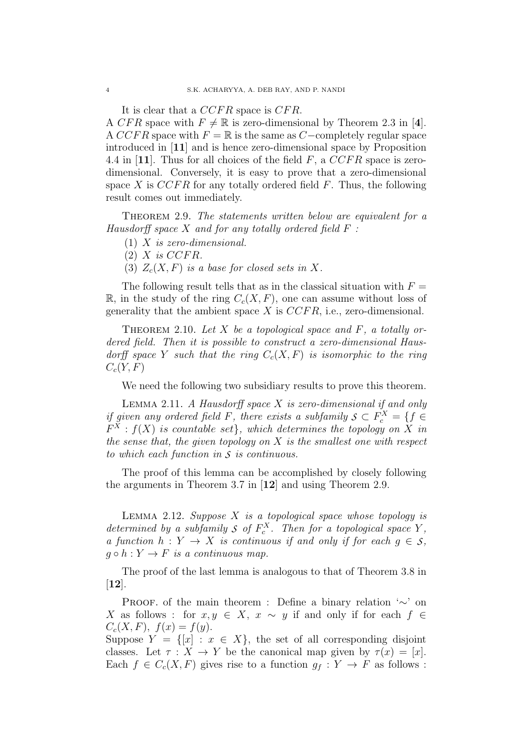It is clear that a  $CCFR$  space is  $CFR$ .

A CFR space with  $F \neq \mathbb{R}$  is zero-dimensional by Theorem 2.3 in [4]. A CCFR space with  $F = \mathbb{R}$  is the same as C−completely regular space introduced in [11] and is hence zero-dimensional space by Proposition 4.4 in [11]. Thus for all choices of the field  $F$ , a  $CCFR$  space is zerodimensional. Conversely, it is easy to prove that a zero-dimensional space X is  $CCFR$  for any totally ordered field F. Thus, the following result comes out immediately.

THEOREM 2.9. The statements written below are equivalent for a Hausdorff space  $X$  and for any totally ordered field  $F$ :

- (1) X is zero-dimensional.
- $(2)$  X is CCFR.
- (3)  $Z_c(X, F)$  is a base for closed sets in X.

The following result tells that as in the classical situation with  $F =$  $\mathbb{R}$ , in the study of the ring  $C_c(X, F)$ , one can assume without loss of generality that the ambient space  $X$  is  $CCFR$ , i.e., zero-dimensional.

THEOREM 2.10. Let X be a topological space and  $F$ , a totally ordered field. Then it is possible to construct a zero-dimensional Hausdorff space Y such that the ring  $C_c(X, F)$  is isomorphic to the ring  $C_c(Y, F)$ 

We need the following two subsidiary results to prove this theorem.

LEMMA 2.11. A Hausdorff space  $X$  is zero-dimensional if and only if given any ordered field F, there exists a subfamily  $S \subset F_c^X = \{f \in$  $F^X : f(X)$  is countable set}, which determines the topology on X in the sense that, the given topology on  $X$  is the smallest one with respect to which each function in *S* is continuous.

The proof of this lemma can be accomplished by closely following the arguments in Theorem 3.7 in [12] and using Theorem 2.9.

LEMMA 2.12. Suppose  $X$  is a topological space whose topology is determined by a subfamily  $S$  of  $F_c^X$ . Then for a topological space  $Y$ , a function  $h: Y \to X$  is continuous if and only if for each  $g \in S$ ,  $q \circ h : Y \to F$  is a continuous map.

The proof of the last lemma is analogous to that of Theorem 3.8 in [12].

PROOF. of the main theorem : Define a binary relation '∼' on X as follows : for  $x, y \in X$ ,  $x \sim y$  if and only if for each  $f \in$  $C_c(X, F), f(x) = f(y).$ 

Suppose  $Y = \{ [x] : x \in X \}$ , the set of all corresponding disjoint classes. Let  $\tau : X \to Y$  be the canonical map given by  $\tau(x) = [x]$ . Each  $f \in C_c(X, F)$  gives rise to a function  $g_f: Y \to F$  as follows: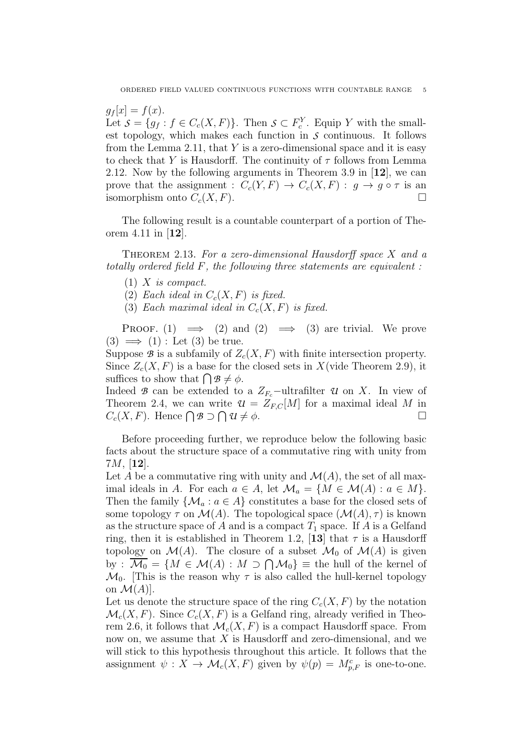$g_f [x] = f(x).$ Let  $S = \{g_f : f \in C_c(X, F)\}\$ . Then  $S \subset F_c^Y$ . Equip Y with the smallest topology, which makes each function in *S* continuous. It follows from the Lemma 2.11, that  $Y$  is a zero-dimensional space and it is easy to check that Y is Hausdorff. The continuity of  $\tau$  follows from Lemma 2.12. Now by the following arguments in Theorem 3.9 in [12], we can prove that the assignment :  $C_c(Y, F) \to C_c(X, F) : g \to g \circ \tau$  is an isomorphism onto  $C_c(X, F)$ .

The following result is a countable counterpart of a portion of Theorem 4.11 in [12].

THEOREM 2.13. For a zero-dimensional Hausdorff space  $X$  and a totally ordered field F, the following three statements are equivalent :

- $(1)$  X is compact.
- (2) Each ideal in  $C_c(X, F)$  is fixed.
- (3) Each maximal ideal in  $C_c(X, F)$  is fixed.

PROOF. (1)  $\implies$  (2) and (2)  $\implies$  (3) are trivial. We prove  $(3) \implies (1)$ : Let  $(3)$  be true.

Suppose  $\mathcal B$  is a subfamily of  $Z_c(X, F)$  with finite intersection property. Since  $Z_c(X, F)$  is a base for the closed sets in X(vide Theorem 2.9), it suffices to show that  $\bigcap \mathcal{B} \neq \phi$ .

Indeed *B* can be extended to a  $Z_{F_c}$ -ultrafilter *U* on X. In view of Theorem 2.4, we can write  $\mathcal{U} = Z_{F,C}[M]$  for a maximal ideal M in  $C_c(X, F)$ . Hence  $\bigcap \mathcal{B} \supset \bigcap \mathcal{U} \neq \emptyset$ .

Before proceeding further, we reproduce below the following basic facts about the structure space of a commutative ring with unity from  $7M, [12]$ .

Let A be a commutative ring with unity and  $\mathcal{M}(A)$ , the set of all maximal ideals in A. For each  $a \in A$ , let  $\mathcal{M}_a = \{M \in \mathcal{M}(A) : a \in M\}.$ Then the family  $\{M_a : a \in A\}$  constitutes a base for the closed sets of some topology  $\tau$  on  $\mathcal{M}(A)$ . The topological space  $(\mathcal{M}(A), \tau)$  is known as the structure space of A and is a compact  $T_1$  space. If A is a Gelfand ring, then it is established in Theorem 1.2, [13] that  $\tau$  is a Hausdorff topology on  $\mathcal{M}(A)$ . The closure of a subset  $\mathcal{M}_0$  of  $\mathcal{M}(A)$  is given by :  $\overline{\mathcal{M}_0} = \{ M \in \mathcal{M}(A) : M \supset \bigcap \mathcal{M}_0 \}$  = the hull of the kernel of  $\mathcal{M}_0$ . This is the reason why  $\tau$  is also called the hull-kernel topology on  $\mathcal{M}(A)$ .

Let us denote the structure space of the ring  $C_c(X, F)$  by the notation  $\mathcal{M}_c(X, F)$ . Since  $C_c(X, F)$  is a Gelfand ring, already verified in Theorem 2.6, it follows that  $\mathcal{M}_c(X, F)$  is a compact Hausdorff space. From now on, we assume that  $X$  is Hausdorff and zero-dimensional, and we will stick to this hypothesis throughout this article. It follows that the assignment  $\psi: X \to \mathcal{M}_c(X, F)$  given by  $\psi(p) = M_{p,F}^c$  is one-to-one.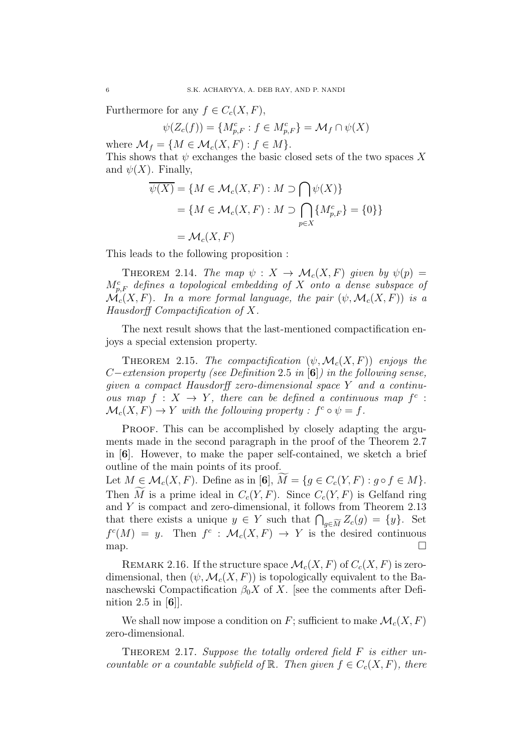Furthermore for any  $f \in C_c(X, F)$ ,

$$
\psi(Z_c(f)) = \{M_{p,F}^c : f \in M_{p,F}^c\} = \mathcal{M}_f \cap \psi(X)
$$

where  $\mathcal{M}_f = \{M \in \mathcal{M}_c(X, F) : f \in M\}.$ 

This shows that  $\psi$  exchanges the basic closed sets of the two spaces X and  $\psi(X)$ . Finally,

$$
\overline{\psi(X)} = \{ M \in \mathcal{M}_c(X, F) : M \supset \bigcap \psi(X) \}
$$

$$
= \{ M \in \mathcal{M}_c(X, F) : M \supset \bigcap_{p \in X} \{ M_{p,F}^c \} = \{ 0 \} \}
$$

$$
= \mathcal{M}_c(X, F)
$$

This leads to the following proposition :

THEOREM 2.14. The map  $\psi : X \to \mathcal{M}_c(X, F)$  given by  $\psi(p) =$  $M_{p,F}^c$  defines a topological embedding of X onto a dense subspace of  $\mathcal{M}_c(X, F)$ . In a more formal language, the pair  $(\psi, \mathcal{M}_c(X, F))$  is a Hausdorff Compactification of X.

The next result shows that the last-mentioned compactification enjoys a special extension property.

THEOREM 2.15. The compactification  $(\psi, \mathcal{M}_c(X, F))$  enjoys the  $C-extension$  property (see Definition 2.5 in [6]) in the following sense, given a compact Hausdorff zero-dimensional space Y and a continuous map  $f: X \to Y$ , there can be defined a continuous map  $f^c$ :  $\mathcal{M}_c(X, F) \to Y$  with the following property :  $f^c \circ \psi = f$ .

PROOF. This can be accomplished by closely adapting the arguments made in the second paragraph in the proof of the Theorem 2.7 in [6]. However, to make the paper self-contained, we sketch a brief outline of the main points of its proof.

Let  $M \in \mathcal{M}_c(X, F)$ . Define as in [6],  $M = \{g \in C_c(Y, F) : g \circ f \in M\}.$ Then M is a prime ideal in  $C_c(Y, F)$ . Since  $C_c(Y, F)$  is Gelfand ring and Y is compact and zero-dimensional, it follows from Theorem 2.13 that there exists a unique  $y \in Y$  such that  $\bigcap_{g \in \widetilde{M}} Z_c(g) = \{y\}$ . Set  $f^c(M) = y$ . Then  $f^c : \mathcal{M}_c(X, F) \to Y$  is the desired continuous  $\Box$ 

REMARK 2.16. If the structure space  $\mathcal{M}_c(X, F)$  of  $C_c(X, F)$  is zerodimensional, then  $(\psi, \mathcal{M}_c(X, F))$  is topologically equivalent to the Banaschewski Compactification  $\beta_0 X$  of X. [see the comments after Definition 2.5 in [6]].

We shall now impose a condition on F; sufficient to make  $\mathcal{M}_c(X, F)$ zero-dimensional.

THEOREM 2.17. Suppose the totally ordered field  $F$  is either uncountable or a countable subfield of  $\mathbb{R}$ . Then given  $f \in C_c(X, F)$ , there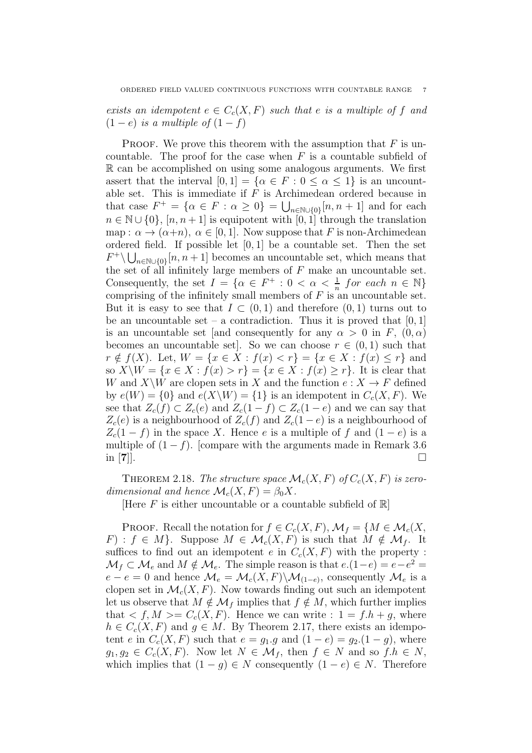exists an idempotent  $e \in C_c(X, F)$  such that e is a multiple of f and  $(1-e)$  is a multiple of  $(1-f)$ 

PROOF. We prove this theorem with the assumption that  $F$  is uncountable. The proof for the case when  $F$  is a countable subfield of R can be accomplished on using some analogous arguments. We first assert that the interval  $[0, 1] = {\alpha \in F : 0 \leq \alpha \leq 1}$  is an uncountable set. This is immediate if  $F$  is Archimedean ordered because in that case  $F^+ = \{ \alpha \in F : \alpha \geq 0 \} = \bigcup_{n \in \mathbb{N} \cup \{0\}} [n, n+1]$  and for each  $n \in \mathbb{N} \cup \{0\}, [n, n+1]$  is equipotent with  $[0, 1]$  through the translation map :  $\alpha \to (\alpha+n)$ ,  $\alpha \in [0,1]$ . Now suppose that F is non-Archimedean ordered field. If possible let  $[0, 1]$  be a countable set. Then the set  $F^+\setminus\bigcup_{n\in\mathbb{N}\cup\{0\}}[n,n+1]$  becomes an uncountable set, which means that the set of all infinitely large members of  $F$  make an uncountable set. Consequently, the set  $I = \{ \alpha \in F^+ : 0 < \alpha < \frac{1}{n} \text{ for each } n \in \mathbb{N} \}$ comprising of the infinitely small members of  $F$  is an uncountable set. But it is easy to see that  $I \subset (0,1)$  and therefore  $(0,1)$  turns out to be an uncountable set – a contradiction. Thus it is proved that  $[0, 1]$ is an uncountable set [and consequently for any  $\alpha > 0$  in F,  $(0, \alpha)$ ] becomes an uncountable set]. So we can choose  $r \in (0,1)$  such that  $r \notin f(X)$ . Let,  $W = \{x \in X : f(x) < r\} = \{x \in X : f(x) \leq r\}$  and so  $X\setminus W = \{x \in X : f(x) > r\} = \{x \in X : f(x) \geq r\}.$  It is clear that W and  $X\setminus W$  are clopen sets in X and the function  $e: X \to F$  defined by  $e(W) = \{0\}$  and  $e(X\backslash W) = \{1\}$  is an idempotent in  $C_c(X, F)$ . We see that  $Z_c(f) \subset Z_c(e)$  and  $Z_c(1-f) \subset Z_c(1-e)$  and we can say that  $Z_c(e)$  is a neighbourhood of  $Z_c(f)$  and  $Z_c(1-e)$  is a neighbourhood of  $Z_c(1-f)$  in the space X. Hence e is a multiple of f and  $(1-e)$  is a multiple of  $(1 - f)$ . [compare with the arguments made in Remark 3.6] in  $[7]$ .

THEOREM 2.18. The structure space  $\mathcal{M}_c(X, F)$  of  $C_c(X, F)$  is zerodimensional and hence  $\mathcal{M}_c(X, F) = \beta_0 X$ .

[Here  $F$  is either uncountable or a countable subfield of  $\mathbb{R}$ ]

**PROOF.** Recall the notation for  $f \in C_c(X, F)$ ,  $\mathcal{M}_f = \{M \in \mathcal{M}_c(X, F)\}$  $F$  :  $f \in M$ . Suppose  $M \in \mathcal{M}_c(X, F)$  is such that  $M \notin \mathcal{M}_f$ . It suffices to find out an idempotent e in  $C_c(X, F)$  with the property :  $\mathcal{M}_f \subset \mathcal{M}_e$  and  $M \notin \mathcal{M}_e$ . The simple reason is that  $e.(1-e) = e-e^2 =$  $e - e = 0$  and hence  $\mathcal{M}_e = \mathcal{M}_c(X, F) \backslash \mathcal{M}_{(1-e)}$ , consequently  $\mathcal{M}_e$  is a clopen set in  $\mathcal{M}_c(X, F)$ . Now towards finding out such an idempotent let us observe that  $M \notin \mathcal{M}_f$  implies that  $f \notin M$ , which further implies that  $\langle f, M \rangle = C_c(X, F)$ . Hence we can write :  $1 = f \cdot h + g$ , where  $h \in C_c(X, F)$  and  $g \in M$ . By Theorem 2.17, there exists an idempotent e in  $C_c(X, F)$  such that  $e = g_1 \cdot g$  and  $(1 - e) = g_2 \cdot (1 - g)$ , where  $g_1, g_2 \in C_c(X, F)$ . Now let  $N \in \mathcal{M}_f$ , then  $f \in N$  and so  $f.h \in N$ , which implies that  $(1 - g) \in N$  consequently  $(1 - e) \in N$ . Therefore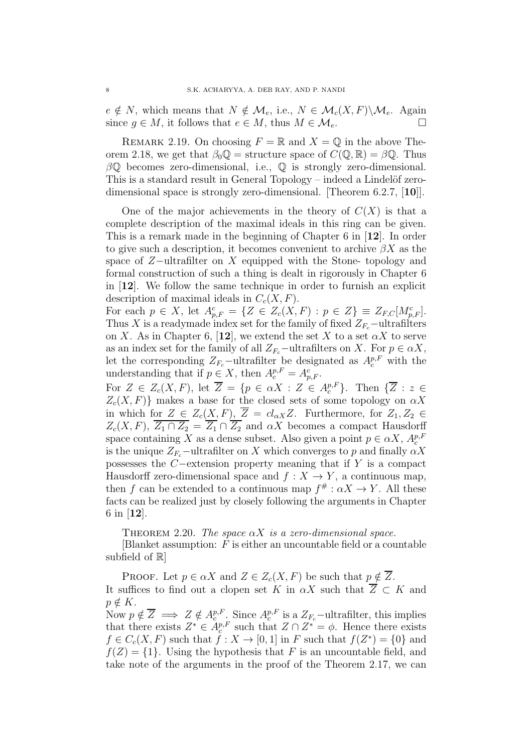$e \notin N$ , which means that  $N \notin \mathcal{M}_e$ , i.e.,  $N \in \mathcal{M}_c(X, F) \backslash \mathcal{M}_e$ . Again since  $q \in M$ , it follows that  $e \in M$ , thus  $M \in \mathcal{M}_e$ .

REMARK 2.19. On choosing  $F = \mathbb{R}$  and  $X = \mathbb{Q}$  in the above Theorem 2.18, we get that  $\beta_0 \mathbb{Q} =$  structure space of  $C(\mathbb{Q}, \mathbb{R}) = \beta \mathbb{Q}$ . Thus  $\beta\mathbb{Q}$  becomes zero-dimensional, i.e.,  $\mathbb{Q}$  is strongly zero-dimensional. This is a standard result in General Topology – indeed a Lindelöf zerodimensional space is strongly zero-dimensional. [Theorem 6.2.7, [10]].

One of the major achievements in the theory of  $C(X)$  is that a complete description of the maximal ideals in this ring can be given. This is a remark made in the beginning of Chapter 6 in [12]. In order to give such a description, it becomes convenient to archive  $\beta X$  as the space of Z–ultrafilter on X equipped with the Stone- topology and formal construction of such a thing is dealt in rigorously in Chapter 6 in [12]. We follow the same technique in order to furnish an explicit description of maximal ideals in  $C_c(X, F)$ .

For each  $p \in X$ , let  $A_{p,F}^c = \{ Z \in Z_c(X,F) : p \in Z \} \equiv Z_{F,C}[M_{p,F}^c]$ . Thus X is a readymade index set for the family of fixed  $Z_{F_c}$  –ultrafilters on X. As in Chapter 6, [12], we extend the set X to a set  $\alpha X$  to serve as an index set for the family of all  $Z_{F_c}$ −ultrafilters on X. For  $p \in \alpha X$ , let the corresponding  $Z_{F_c}$ -ultrafilter be designated as  $A_c^{p,F}$  with the understanding that if  $p \in X$ , then  $A_c^{p,F} = A_{p,F}^c$ .

For  $Z \in Z_c(X, F)$ , let  $\overline{Z} = \{p \in \alpha X : Z \in A_c^{p, F}\}$ . Then  $\{\overline{Z} : z \in$  $Z_c(X, F)$ } makes a base for the closed sets of some topology on  $\alpha X$ in which for  $Z \in Z_c(X, F)$ ,  $\overline{Z} = cl_{\alpha X} Z$ . Furthermore, for  $Z_1, Z_2 \in$  $Z_c(X, F)$ ,  $\overline{Z_1 \cap Z_2} = \overline{Z_1} \cap \overline{Z_2}$  and  $\alpha X$  becomes a compact Hausdorff space containing X as a dense subset. Also given a point  $p \in \alpha X$ ,  $A_c^{p,F}$ is the unique  $Z_{F_c}$ -ultrafilter on X which converges to p and finally  $\alpha X$ possesses the C−extension property meaning that if Y is a compact Hausdorff zero-dimensional space and  $f : X \to Y$ , a continuous map, then f can be extended to a continuous map  $f^{\#}$ :  $\alpha X \to Y$ . All these facts can be realized just by closely following the arguments in Chapter 6 in [12].

THEOREM 2.20. The space  $\alpha X$  is a zero-dimensional space.

 $[B]$ lanket assumption: F is either an uncountable field or a countable subfield of  $\mathbb{R}$ 

PROOF. Let  $p \in \alpha X$  and  $Z \in Z_c(X, F)$  be such that  $p \notin \overline{Z}$ . It suffices to find out a clopen set K in  $\alpha X$  such that  $\overline{Z} \subset K$  and  $p \notin K$ .

Now  $p \notin \overline{Z} \implies Z \notin A_c^{p,F}$ . Since  $A_c^{p,F}$  is a  $Z_{F_c}$ -ultrafilter, this implies that there exists  $Z^* \in A_c^{p,F}$  such that  $Z \cap Z^* = \phi$ . Hence there exists  $f \in C_c(X, F)$  such that  $f: X \to [0, 1]$  in F such that  $f(Z^*) = \{0\}$  and  $f(Z) = \{1\}$ . Using the hypothesis that F is an uncountable field, and take note of the arguments in the proof of the Theorem 2.17, we can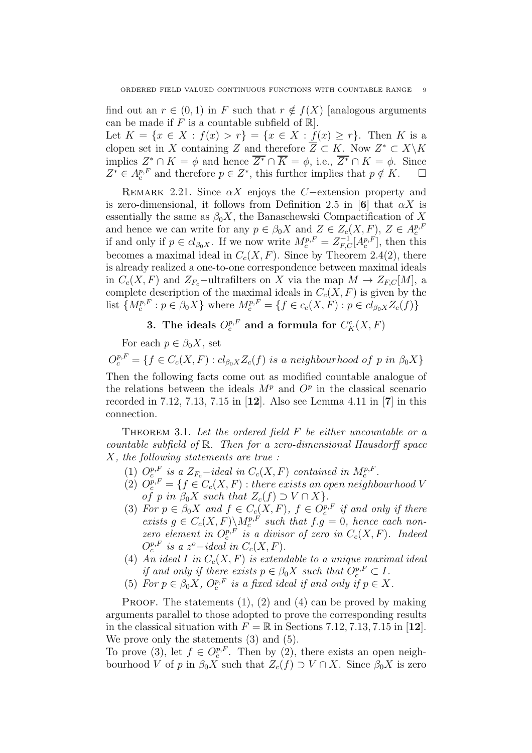find out an  $r \in (0,1)$  in F such that  $r \notin f(X)$  [analogous arguments can be made if F is a countable subfield of  $\mathbb{R}$ .

Let  $K = \{x \in X : f(x) > r\} = \{x \in X : f(x) \ge r\}.$  Then K is a clopen set in X containing Z and therefore  $\overline{Z} \subset K$ . Now  $Z^* \subset X\backslash K$ implies  $Z^* \cap K = \phi$  and hence  $\overline{Z^*} \cap \overline{K} = \phi$ , i.e.,  $\overline{Z^*} \cap K = \phi$ . Since  $Z^* \in A_c^{p,F}$  and therefore  $p \in Z^*$ , this further implies that  $p \notin K$ .  $\Box$ 

REMARK 2.21. Since  $\alpha X$  enjoys the C−extension property and is zero-dimensional, it follows from Definition 2.5 in [6] that  $\alpha X$  is essentially the same as  $\beta_0 X$ , the Banaschewski Compactification of X and hence we can write for any  $p \in \beta_0 X$  and  $Z \in Z_c(X, F)$ ,  $Z \in A_c^{p, F}$ <br>if and only if  $p \in cl_{\beta_0 X}$ . If we now write  $M_c^{p, F} = Z_{F, C}^{-1}[A_c^{p, F}]$ , then this becomes a maximal ideal in  $C_c(X, F)$ . Since by Theorem 2.4(2), there is already realized a one-to-one correspondence between maximal ideals in  $C_c(X, F)$  and  $Z_{F_c}$ -ultrafilters on X via the map  $M \to Z_{F,C}[M]$ , a complete description of the maximal ideals in  $C_c(X, F)$  is given by the list  $\{M_c^{p,F} : p \in \beta_0 X\}$  where  $M_c^{p,F} = \{f \in c_c(X, F) : p \in cl_{\beta_0 X} Z_c(f)\}\$ 

# 3. The ideals  $O^{p,F}_{c}$  and a formula for  $C^c_K(X,F)$

For each  $p \in \beta_0 X$ , set

 $O_c^{p,F} = \{f \in C_c(X,F) : cl_{\beta_0 X} Z_c(f) \text{ is a neighbourhood of } p \text{ in } \beta_0 X\}$ Then the following facts come out as modified countable analogue of the relations between the ideals  $M^p$  and  $O^p$  in the classical scenario recorded in 7.12, 7.13, 7.15 in [12]. Also see Lemma 4.11 in [7] in this connection.

THEOREM 3.1. Let the ordered field  $F$  be either uncountable or a countable subfield of R. Then for a zero-dimensional Hausdorff space X, the following statements are true :

- (1)  $O_c^{p,F}$  is a  $Z_{F_c}$ -ideal in  $C_c(X, F)$  contained in  $M_c^{p,F}$ .
- (2)  $O_c^{p,F} = \{f \in C_c(X,F) : \text{there exists an open neighbourhood } V\}$ of p in  $\beta_0 X$  such that  $Z_c(f) \supset V \cap X$ .
- (3) For  $p \in \beta_0 X$  and  $f \in C_c(X, F)$ ,  $f \in O_c^{p, F}$  if and only if there exists  $g \in C_c(X, F) \backslash M_c^{p, F}$  such that  $f.g = 0$ , hence each nonzero element in  $O_c^{p,F}$  is a divisor of zero in  $C_c(X, F)$ . Indeed  $O_c^{p,F}$  is a  $z^o$ -ideal in  $C_c(X, F)$ .
- (4) An ideal I in  $C_c(X, F)$  is extendable to a unique maximal ideal if and only if there exists  $p \in \beta_0 X$  such that  $O_c^{p,F} \subset I$ .
- (5) For  $p \in \beta_0 X$ ,  $O_c^{p,F}$  is a fixed ideal if and only if  $p \in X$ .

**PROOF.** The statements  $(1)$ ,  $(2)$  and  $(4)$  can be proved by making arguments parallel to those adopted to prove the corresponding results in the classical situation with  $F = \mathbb{R}$  in Sections 7.12, 7.13, 7.15 in [12]. We prove only the statements (3) and (5).

To prove (3), let  $f \in O_c^{p,F}$ . Then by (2), there exists an open neighbourhood V of p in  $\beta_0 X$  such that  $Z_c(f) \supset V \cap X$ . Since  $\beta_0 X$  is zero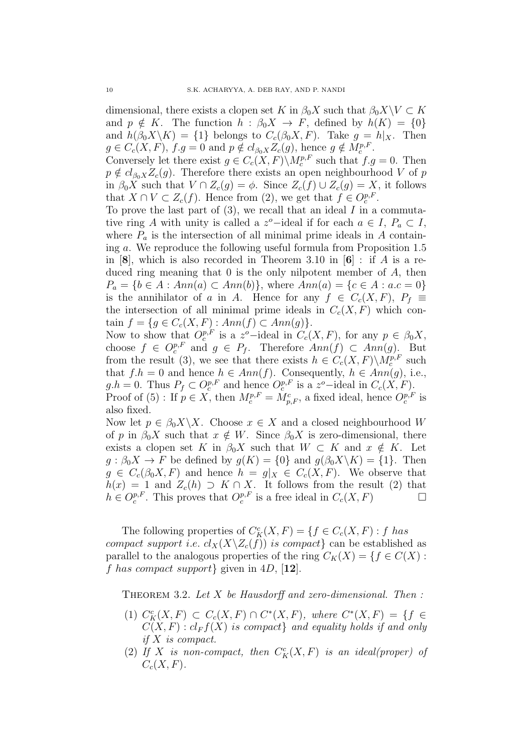dimensional, there exists a clopen set K in  $\beta_0 X$  such that  $\beta_0 X \setminus V \subset K$ and  $p \notin K$ . The function  $h : \beta_0 X \to F$ , defined by  $h(K) = \{0\}$ and  $h(\beta_0 X \backslash K) = \{1\}$  belongs to  $C_c(\beta_0 X, F)$ . Take  $g = h|_X$ . Then  $g \in C_c(X, F)$ ,  $f.g = 0$  and  $p \notin cl_{\beta_0 X} Z_c(g)$ , hence  $g \notin M_c^{p, F}$ .

Conversely let there exist  $g \in C_c(X, F) \backslash M_c^{p, F}$  such that  $f.g = 0$ . Then  $p \notin cl_{\beta_0 X} Z_c(g)$ . Therefore there exists an open neighbourhood V of p in  $\beta_0 X$  such that  $V \cap Z_c(g) = \phi$ . Since  $Z_c(f) \cup Z_c(g) = X$ , it follows that  $X \cap V \subset Z_c(f)$ . Hence from (2), we get that  $f \in O_c^{p,F}$ .

To prove the last part of  $(3)$ , we recall that an ideal  $I$  in a commutative ring A with unity is called a z<sup>o</sup>-ideal if for each  $a \in I$ ,  $P_a \subset I$ , where  $P_a$  is the intersection of all minimal prime ideals in A containing a. We reproduce the following useful formula from Proposition 1.5 in [8], which is also recorded in Theorem 3.10 in  $[6]$  : if A is a reduced ring meaning that 0 is the only nilpotent member of A, then  $P_a = \{b \in A : Ann(a) \subset Ann(b)\},$  where  $Ann(a) = \{c \in A : a.c = 0\}$ is the annihilator of a in A. Hence for any  $f \in C_c(X, F)$ ,  $P_f \equiv$ the intersection of all minimal prime ideals in  $C_c(X, F)$  which contain  $f = \{ g \in C_c(X, F) : Ann(f) \subset Ann(g) \}.$ 

Now to show that  $O_c^{p,F}$  is a z<sup>o</sup>-ideal in  $C_c(X, F)$ , for any  $p \in \beta_0 X$ , choose  $f \in O_c^{p,F}$  and  $g \in P_f$ . Therefore  $Ann(f) \subset Ann(g)$ . But from the result (3), we see that there exists  $h \in C_c(X, F) \backslash M_c^{p, F}$  such that  $f.h = 0$  and hence  $h \in Ann(f)$ . Consequently,  $h \in Ann(g)$ , i.e.,  $g.h = 0$ . Thus  $P_f \subset O_c^{p,F}$  and hence  $O_c^{p,F}$  is a  $z^o$ -ideal in  $C_c(X, F)$ . Proof of (5) : If  $p \in X$ , then  $M_c^{p,F} = M_{p,F}^c$ , a fixed ideal, hence  $O_c^{p,F}$  is also fixed.

Now let  $p \in \beta_0 X \backslash X$ . Choose  $x \in X$  and a closed neighbourhood W of p in  $\beta_0 X$  such that  $x \notin W$ . Since  $\beta_0 X$  is zero-dimensional, there exists a clopen set K in  $\beta_0 X$  such that  $W \subset K$  and  $x \notin K$ . Let  $g : \beta_0 X \to F$  be defined by  $g(K) = \{0\}$  and  $g(\beta_0 X \setminus K) = \{1\}$ . Then  $g \in C_c(\beta_0 X, F)$  and hence  $h = g|_X \in C_c(X, F)$ . We observe that  $h(x) = 1$  and  $Z_c(h) \supset K \cap X$ . It follows from the result (2) that  $h \in O_c^{p,F}$ . This proves that  $O_c^{p,F}$  is a free ideal in  $C_c(X, F)$ 

The following properties of  $C_K^c(X, F) = \{f \in C_c(X, F) : f \text{ has }$ compact support i.e.  $cl_X(X\backslash Z_c(f))$  is compact} can be established as parallel to the analogous properties of the ring  $C_K(X) = \{f \in C(X) :$ f has compact support given in 4D,  $[12]$ .

THEOREM 3.2. Let  $X$  be Hausdorff and zero-dimensional. Then:

- (1)  $C_K^c(X, F) \subset C_c(X, F) \cap C^*(X, F)$ , where  $C^*(X, F) = \{f \in$  $C(X, F) : cl_F f(X)$  is compact and equality holds if and only if X is compact.
- (2) If X is non-compact, then  $C_K^c(X, F)$  is an ideal(proper) of  $C_c(X, F)$ .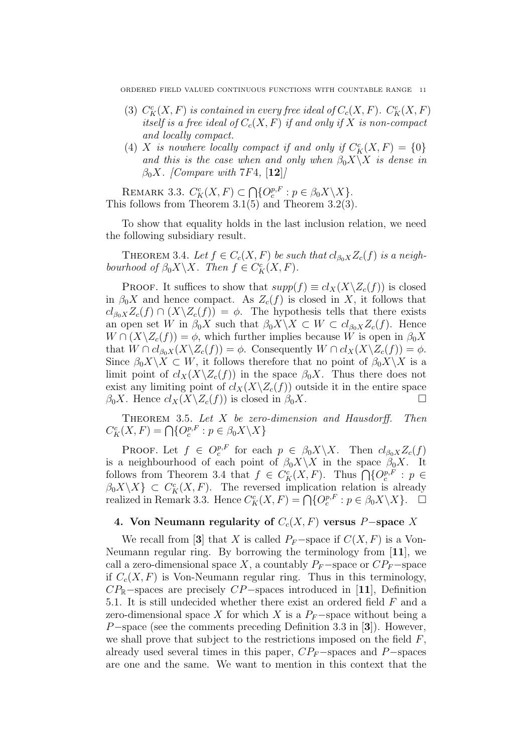- (3)  $C_K^c(X, F)$  is contained in every free ideal of  $C_c(X, F)$ .  $C_K^c(X, F)$ itself is a free ideal of  $C_c(X, F)$  if and only if X is non-compact and locally compact.
- (4) X is nowhere locally compact if and only if  $C_K^c(X, F) = \{0\}$ and this is the case when and only when  $\beta_0 X \backslash X$  is dense in  $\beta_0 X$ . [Compare with 7F4, [12]]

REMARK 3.3.  $C_K^c(X, F) \subset \bigcap \{O_c^{p,F} : p \in \beta_0 X \backslash X\}.$ This follows from Theorem 3.1(5) and Theorem 3.2(3).

To show that equality holds in the last inclusion relation, we need the following subsidiary result.

THEOREM 3.4. Let  $f \in C_c(X, F)$  be such that  $cl_{\beta_0 X} Z_c(f)$  is a neighbourhood of  $\beta_0 X \backslash X$ . Then  $f \in C_K^c(X, F)$ .

**PROOF.** It suffices to show that  $supp(f) \equiv cl_X(X \setminus Z_c(f))$  is closed in  $\beta_0 X$  and hence compact. As  $Z_c(f)$  is closed in X, it follows that  $cl_{\beta_0X}Z_c(f) \cap (X\backslash Z_c(f)) = \phi$ . The hypothesis tells that there exists an open set W in  $\beta_0 X$  such that  $\beta_0 X \setminus X \subset W \subset cl_{\beta_0 X} Z_c(f)$ . Hence  $W \cap (X \backslash Z_c(f)) = \phi$ , which further implies because W is open in  $\beta_0 X$ that  $W \cap cl_{\beta_0 X}(X \backslash Z_c(f)) = \phi$ . Consequently  $W \cap cl_X(X \backslash Z_c(f)) = \phi$ . Since  $\beta_0 X \setminus X \subset W$ , it follows therefore that no point of  $\beta_0 X \setminus X$  is a limit point of  $cl_X(X\backslash Z_c(f))$  in the space  $\beta_0X$ . Thus there does not exist any limiting point of  $cl_X(X\backslash Z_c(f))$  outside it in the entire space  $\beta_0 X$ . Hence  $cl_X(X\backslash Z_c(f))$  is closed in  $\beta_0 X$ .

THEOREM 3.5. Let  $X$  be zero-dimension and Hausdorff. Then  $C_K^c(X, F) = \bigcap \{O_c^{p, F} : p \in \beta_0 X \backslash X\}$ 

PROOF. Let  $f \in O_c^{p,F}$  for each  $p \in \beta_0 X \backslash X$ . Then  $cl_{\beta_0 X} Z_c(f)$ is a neighbourhood of each point of  $\beta_0 X \backslash X$  in the space  $\beta_0 X$ . It follows from Theorem 3.4 that  $f \in C_K^c(X, F)$ . Thus  $\bigcap \{O_c^{p, F}: p \in$  $\beta_0 X \setminus X$   $\subset C_K^c(X, F)$ . The reversed implication relation is already realized in Remark 3.3. Hence  $C_K^c(X, F) = \bigcap \{O_c^{p,F} : p \in \beta_0 X \setminus X\}$ .  $\Box$ 

# 4. Von Neumann regularity of  $C_c(X, F)$  versus P−space X

We recall from [3] that X is called  $P_F$ -space if  $C(X, F)$  is a Von-Neumann regular ring. By borrowing the terminology from [11], we call a zero-dimensional space X, a countably  $P_F$ -space or  $CP_F$ -space if  $C_c(X, F)$  is Von-Neumann regular ring. Thus in this terminology,  $CP_{\mathbb{R}}$ −spaces are precisely  $CP$ −spaces introduced in [11], Definition 5.1. It is still undecided whether there exist an ordered field F and a zero-dimensional space X for which X is a  $P_F$ -space without being a P−space (see the comments preceding Definition 3.3 in [3]). However, we shall prove that subject to the restrictions imposed on the field  $F$ . already used several times in this paper,  $CP_F$ –spaces and P−spaces are one and the same. We want to mention in this context that the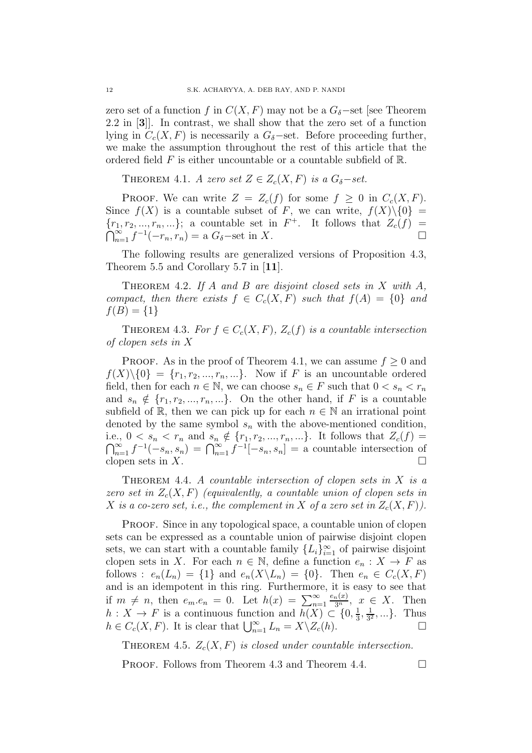zero set of a function f in  $C(X, F)$  may not be a  $G_{\delta}$ -set [see Theorem 2.2 in [3]]. In contrast, we shall show that the zero set of a function lying in  $C_c(X, F)$  is necessarily a  $G_{\delta}$ -set. Before proceeding further, we make the assumption throughout the rest of this article that the ordered field  $F$  is either uncountable or a countable subfield of  $\mathbb{R}$ .

THEOREM 4.1. A zero set  $Z \in Z_c(X, F)$  is a  $G_{\delta} - set$ .

**PROOF.** We can write  $Z = Z_c(f)$  for some  $f \geq 0$  in  $C_c(X, F)$ . Since  $f(X)$  is a countable subset of F, we can write,  $f(X)\setminus\{0\}$  =  $\{r_1, r_2, ..., r_n, ...\}$ ; a countable set in  $F^+$ Ò  $\{X_1, Y_2, ..., Y_n, ...\}$ ; a countable set in  $F^+$ . It follows that  $Z_c(f) = \sum_{n=1}^{\infty} f^{-1}(-r_n, r_n) =$  a  $G_{\delta}$ -set in X.

The following results are generalized versions of Proposition 4.3, Theorem 5.5 and Corollary 5.7 in [11].

THEOREM 4.2. If A and B are disjoint closed sets in X with  $A$ , compact, then there exists  $f \in C_c(X, F)$  such that  $f(A) = \{0\}$  and  $f(B) = \{1\}$ 

THEOREM 4.3. For  $f \in C_c(X, F)$ ,  $Z_c(f)$  is a countable intersection of clopen sets in X

**PROOF.** As in the proof of Theorem 4.1, we can assume  $f \geq 0$  and  $f(X)\setminus\{0\} = \{r_1, r_2, ..., r_n, ...\}$ . Now if F is an uncountable ordered field, then for each  $n \in \mathbb{N}$ , we can choose  $s_n \in F$  such that  $0 < s_n < r_n$ and  $s_n \notin \{r_1, r_2, ..., r_n, ...\}$ . On the other hand, if F is a countable subfield of R, then we can pick up for each  $n \in \mathbb{N}$  an irrational point denoted by the same symbol  $s_n$  with the above-mentioned condition, i.e.,  $0 < s_n < r_n$  and  $s_n \notin \{r_1, r_2, ..., r_n, ...\}$ . It follows that  $Z_c(f) =$  $\bigcap_{n=1}^{\infty} f^{-1}(-s_n, s_n) = \bigcap_{n=1}^{\infty} f^{-1}[-s_n, s_n] = \text{a countable intersection of}$ clopen sets in  $X$ .

THEOREM 4.4. A countable intersection of clopen sets in  $X$  is a zero set in  $Z_c(X, F)$  (equivalently, a countable union of clopen sets in X is a co-zero set, i.e., the complement in X of a zero set in  $Z_c(X, F)$ ).

PROOF. Since in any topological space, a countable union of clopen sets can be expressed as a countable union of pairwise disjoint clopen sets, we can start with a countable family  $\{L_i\}_{i=1}^{\infty}$  of pairwise disjoint clopen sets in X. For each  $n \in \mathbb{N}$ , define a function  $e_n : X \to F$  as follows :  $e_n(L_n) = \{1\}$  and  $e_n(X \backslash L_n) = \{0\}$ . Then  $e_n \in C_c(X, F)$ and is an idempotent in this ring. Furthermore, it is easy to see that if  $m \neq n$ , then  $e_m \cdot e_n = 0$ . Let  $h(x) = \sum_{n=1}^{\infty}$  $\frac{e_n(x)}{3^n}$ ,  $x \in X$ . Then  $h: X \to F$  is a continuous function and  $h(X) \subset \{0, \frac{1}{3}\}$  $\frac{1}{3}, \frac{1}{3^2}$  $\frac{1}{3^2}, \ldots$ . Thus  $h \in C_c(X, F)$ . It is clear that  $\bigcup_{n=1}^{\infty} L_n = X \setminus Z_c(h)$ .

THEOREM 4.5.  $Z_c(X, F)$  is closed under countable intersection.

**PROOF.** Follows from Theorem 4.3 and Theorem 4.4.  $\Box$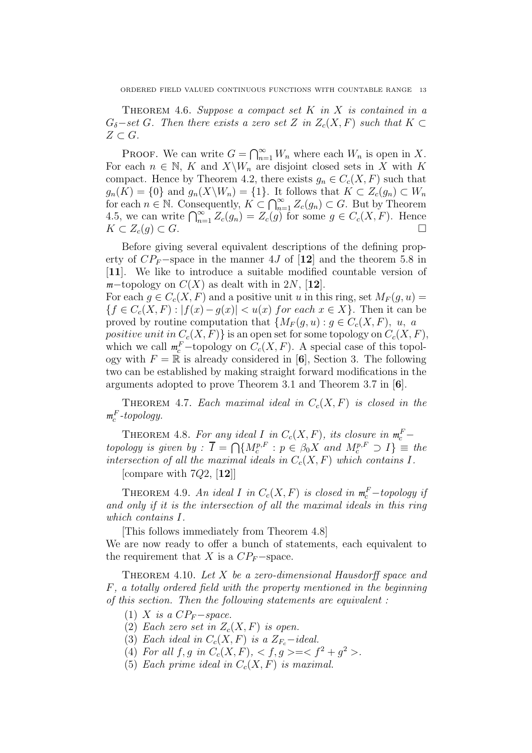THEOREM 4.6. Suppose a compact set  $K$  in  $X$  is contained in a  $G_{\delta}$ −set G. Then there exists a zero set Z in  $Z_c(X, F)$  such that  $K \subset$  $Z \subset G$ .

PROOF. We can write  $G = \bigcap_{n=1}^{\infty} W_n$  where each  $W_n$  is open in X. For each  $n \in \mathbb{N}$ , K and  $X\backslash W_n$  are disjoint closed sets in X with K compact. Hence by Theorem 4.2, there exists  $g_n \in C_c(X, F)$  such that  $g_n(K) = \{0\}$  and  $g_n(X\backslash W_n) = \{1\}$ . It follows that  $K \subset Z_c(g_n) \subset W_n$ for each  $n \in \mathbb{N}$ . Consequently,  $K \subset \bigcap_{n=1}^{\infty} Z_c(g_n) \subset G$ . But by Theorem 4.5, we can write  $\bigcap_{n=1}^{\infty} Z_c(g_n) = Z_c(g)$  for some  $g \in C_c(X, F)$ . Hence  $K \subset Z_c(g) \subset G.$ 

Before giving several equivalent descriptions of the defining property of  $CP_F$ −space in the manner 4J of [12] and the theorem 5.8 in [11]. We like to introduce a suitable modified countable version of  $m$ −topology on  $C(X)$  as dealt with in 2N, [12].

For each  $g \in C_c(X, F)$  and a positive unit u in this ring, set  $M_F(g, u)$  =  ${f \in C_c(X, F) : |f(x) - g(x)| < u(x) \text{ for each } x \in X}$ . Then it can be proved by routine computation that  $\{M_F(g, u) : g \in C_c(X, F), u, a\}$ positive unit in  $C_c(X, F)$  is an open set for some topology on  $C_c(X, F)$ , which we call  $m_c^F$ -topology on  $C_c(X, F)$ . A special case of this topology with  $F = \mathbb{R}$  is already considered in [6], Section 3. The following two can be established by making straight forward modifications in the arguments adopted to prove Theorem 3.1 and Theorem 3.7 in [6].

THEOREM 4.7. Each maximal ideal in  $C_c(X, F)$  is closed in the  $m_c^F$ -topology.

THEOREM 4.8. For any ideal I in  $C_c(X, F)$ , its closure in  $m_c^F$  – topology is given by :  $\overline{I} = \bigcap \{M_c^{p,F} : p \in \beta_0 X \text{ and } M_c^{p,F} \supset I\}$   $\equiv$  the intersection of all the maximal ideals in  $C_c(X, F)$  which contains I.

[compare with  $7Q2$ ,  $[12]$ ]

THEOREM 4.9. An ideal I in  $C_c(X, F)$  is closed in  $m_c^F$ -topology if and only if it is the intersection of all the maximal ideals in this ring which contains I.

[This follows immediately from Theorem 4.8]

We are now ready to offer a bunch of statements, each equivalent to the requirement that X is a  $CP_F$ −space.

THEOREM 4.10. Let  $X$  be a zero-dimensional Hausdorff space and F, a totally ordered field with the property mentioned in the beginning of this section. Then the following statements are equivalent :

- (1) X is a  $CP_F$ -space.
- (2) Each zero set in  $Z_c(X, F)$  is open.
- (3) Each ideal in  $C_c(X, F)$  is a  $Z_F$ -ideal.
- (4) For all  $f, g \text{ in } C_c(X, F), < f, g \geq \lt f^2 + g^2 >$ .
- (5) Each prime ideal in  $C_c(X, F)$  is maximal.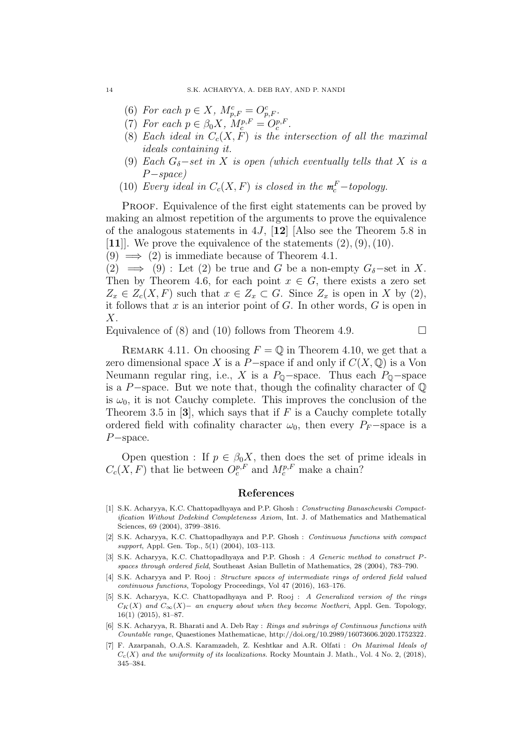- (6) For each  $p \in X$ ,  $M_{p,F}^c = O_{p,F}^c$ .
- (7) For each  $p \in \beta_0 X$ ,  $M_c^{p,F} = O_c^{p,F}$ .
- (8) Each ideal in  $C_c(X, F)$  is the intersection of all the maximal ideals containing it.
- (9) Each  $G_{\delta}$ -set in X is open (which eventually tells that X is a P−space)
- (10) Every ideal in  $C_c(X, F)$  is closed in the  $m_c^F$ -topology.

PROOF. Equivalence of the first eight statements can be proved by making an almost repetition of the arguments to prove the equivalence of the analogous statements in 4J,  $[12]$  [Also see the Theorem 5.8 in [11]. We prove the equivalence of the statements  $(2), (9), (10)$ .

 $(9) \implies (2)$  is immediate because of Theorem 4.1.

(2)  $\implies$  (9) : Let (2) be true and G be a non-empty  $G_{\delta}$ -set in X. Then by Theorem 4.6, for each point  $x \in G$ , there exists a zero set  $Z_x \in Z_c(X, F)$  such that  $x \in Z_x \subset G$ . Since  $Z_x$  is open in X by (2), it follows that  $x$  is an interior point of  $G$ . In other words,  $G$  is open in  $X$ .

Equivalence of (8) and (10) follows from Theorem 4.9.

REMARK 4.11. On choosing  $F = \mathbb{Q}$  in Theorem 4.10, we get that a zero dimensional space X is a P−space if and only if  $C(X, \mathbb{Q})$  is a Von Neumann regular ring, i.e., X is a  $P_{\mathbb{Q}}$ -space. Thus each  $P_{\mathbb{Q}}$ -space is a P−space. But we note that, though the cofinality character of Q is  $\omega_0$ , it is not Cauchy complete. This improves the conclusion of the Theorem 3.5 in [3], which says that if  $F$  is a Cauchy complete totally ordered field with cofinality character  $\omega_0$ , then every P<sub>F</sub>−space is a P−space.

Open question : If  $p \in \beta_0 X$ , then does the set of prime ideals in  $C_c(X, F)$  that lie between  $O_c^{p,F}$  and  $M_c^{p,F}$  make a chain?

### References

- [1] S.K. Acharyya, K.C. Chattopadhyaya and P.P. Ghosh : Constructing Banaschewski Compactification Without Dedekind Completeness Axiom, Int. J. of Mathematics and Mathematical Sciences, 69 (2004), 3799–3816.
- [2] S.K. Acharyya, K.C. Chattopadhyaya and P.P. Ghosh : Continuous functions with compact support, Appl. Gen. Top., 5(1) (2004), 103-113.
- [3] S.K. Acharyya, K.C. Chattopadhyaya and P.P. Ghosh : A Generic method to construct Pspaces through ordered field, Southeast Asian Bulletin of Mathematics, 28 (2004), 783–790.
- [4] S.K. Acharyya and P. Rooj : Structure spaces of intermediate rings of ordered field valued continuous functions, Topology Proceedings, Vol 47 (2016), 163–176.
- [5] S.K. Acharyya, K.C. Chattopadhyaya and P. Rooj : A Generalized version of the rings  $C_K(X)$  and  $C_\infty(X)$  – an enquery about when they become Noetheri, Appl. Gen. Topology, 16(1) (2015), 81–87.
- [6] S.K. Acharyya, R. Bharati and A. Deb Ray : Rings and subrings of Continuous functions with Countable range, Quaestiones Mathematicae, http://doi.org/10.2989/16073606.2020.1752322.
- [7] F. Azarpanah, O.A.S. Karamzadeh, Z. Keshtkar and A.R. Olfati : On Maximal Ideals of  $C_c(X)$  and the uniformity of its localizations. Rocky Mountain J. Math., Vol. 4 No. 2, (2018), 345–384.